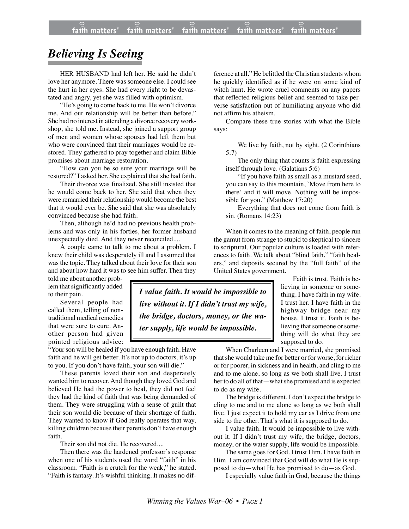# *Believing Is Seeing*

HER HUSBAND had left her. He said he didn't love her anymore. There was someone else. I could see the hurt in her eyes. She had every right to be devastated and angry, yet she was filled with optimism.

"He's going to come back to me. He won't divorce me. And our relationship will be better than before." She had no interest in attending a divorce recovery workshop, she told me. Instead, she joined a support group of men and women whose spouses had left them but who were convinced that their marriages would be restored. They gathered to pray together and claim Bible promises about marriage restoration.

"How can you be so sure your marriage will be restored?" I asked her. She explained that she had faith.

Their divorce was finalized. She still insisted that he would come back to her. She said that when they were remarried their relationship would become the best that it would ever be. She said that she was absolutely convinced because she had faith.

Then, although he'd had no previous health problems and was only in his forties, her former husband unexpectedly died. And they never reconciled....

A couple came to talk to me about a problem. I knew their child was desperately ill and I assumed that was the topic. They talked about their love for their son and about how hard it was to see him suffer. Then they

told me about another problem that significantly added to their pain.

Several people had called them, telling of nontraditional medical remedies that were sure to cure. Another person had given pointed religious advice:

"Your son will be healed if you have enough faith. Have faith and he will get better. It's not up to doctors, it's up to you. If you don't have faith, your son will die."

These parents loved their son and desperately wanted him to recover. And though they loved God and believed He had the power to heal, they did not feel they had the kind of faith that was being demanded of them. They were struggling with a sense of guilt that their son would die because of their shortage of faith. They wanted to know if God really operates that way, killing children because their parents don't have enough faith.

Their son did not die. He recovered....

Then there was the hardened professor's response when one of his students used the word "faith" in his classroom. "Faith is a crutch for the weak," he stated. "Faith is fantasy. It's wishful thinking. It makes no dif-

ference at all." He belittled the Christian students whom he quickly identified as if he were on some kind of witch hunt. He wrote cruel comments on any papers that reflected religious belief and seemed to take perverse satisfaction out of humiliating anyone who did not affirm his atheism.

Compare these true stories with what the Bible says:

We live by faith, not by sight. (2 Corinthians 5:7)

The only thing that counts is faith expressing itself through love. (Galatians 5:6)

"If you have faith as small as a mustard seed, you can say to this mountain, `Move from here to there' and it will move. Nothing will be impossible for you." (Matthew 17:20)

Everything that does not come from faith is sin. (Romans 14:23)

When it comes to the meaning of faith, people run the gamut from strange to stupid to skeptical to sincere to scriptural. Our popular culture is loaded with references to faith. We talk about "blind faith," "faith healers," and deposits secured by the "full faith" of the United States government.

> Faith is trust. Faith is believing in someone or something. I have faith in my wife. I trust her. I have faith in the highway bridge near my house. I trust it. Faith is believing that someone or something will do what they are supposed to do.

When Charleen and I were married, she promised that she would take me for better or for worse, for richer or for poorer, in sickness and in health, and cling to me and to me alone, so long as we both shall live. I trust her to do all of that—what she promised and is expected to do as my wife.

The bridge is different. I don't expect the bridge to cling to me and to me alone so long as we both shall live. I just expect it to hold my car as I drive from one side to the other. That's what it is supposed to do.

I value faith. It would be impossible to live without it. If I didn't trust my wife, the bridge, doctors, money, or the water supply, life would be impossible.

The same goes for God. I trust Him. I have faith in Him. I am convinced that God will do what He is supposed to do—what He has promised to do—as God.

I especially value faith in God, because the things

*live without it. If I didn't trust my wife, the bridge, doctors, money, or the water supply, life would be impossible.*

*I value faith. It would be impossible to*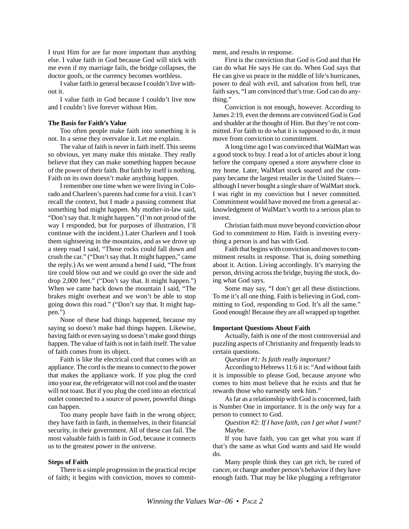I trust Him for are far more important than anything else. I value faith in God because God will stick with me even if my marriage fails, the bridge collapses, the doctor goofs, or the currency becomes worthless.

I value faith in general because I couldn't live without it.

I value faith in God because I couldn't live now and I couldn't live forever without Him.

#### **The Basis for Faith's Value**

Too often people make faith into something it is not. In a sense they overvalue it. Let me explain.

The value of faith is never in faith itself. This seems so obvious, yet many make this mistake. They really believe that they can make something happen because of the power of their faith. But faith by itself is nothing. Faith on its own doesn't make anything happen.

I remember one time when we were living in Colorado and Charleen's parents had come for a visit. I can't recall the context, but I made a passing comment that something bad might happen. My mother-in-law said, "Don't say that. It might happen." (I'm not proud of the way I responded, but for purposes of illustration, I'll continue with the incident.) Later Charleen and I took them sightseeing in the mountains, and as we drove up a steep road I said, "Those rocks could fall down and crush the car." ("Don't say that. It might happen," came the reply.) As we went around a bend I said, "The front tire could blow out and we could go over the side and drop 2,000 feet." ("Don't say that. It might happen.") When we came back down the mountain I said, "The brakes might overheat and we won't be able to stop going down this road." ("Don't say that. It might happen.")

None of these bad things happened, because my saying so doesn't make bad things happen. Likewise, having faith or even saying so doesn't make good things happen. The value of faith is not in faith itself. The value of faith comes from its object.

Faith is like the electrical cord that comes with an appliance. The cord is the means to connect to the power that makes the appliance work. If you plug the cord into your ear, the refrigerator will not cool and the toaster will not toast. But if you plug the cord into an electrical outlet connected to a source of power, powerful things can happen.

Too many people have faith in the wrong object; they have faith in faith, in themselves, in their financial security, in their government. All of these can fail. The most valuable faith is faith in God, because it connects us to the greatest power in the universe.

### **Steps of Faith**

There is a simple progression in the practical recipe of faith; it begins with conviction, moves to commitment, and results in response.

First is the conviction that God is God and that He can do what He says He can do. When God says that He can give us peace in the middle of life's hurricanes, power to deal with evil, and salvation from hell, true faith says, "I am convinced that's true. God can do anything."

Conviction is not enough, however. According to James 2:19, even the demons are convinced God is God and shudder at the thought of Him. But they're not committed. For faith to do what it is supposed to do, it must move from conviction to commitment.

A long time ago I was convinced that WalMart was a good stock to buy. I read a lot of articles about it long before the company opened a store anywhere close to my home. Later, WalMart stock soared and the company became the largest retailer in the United States although I never bought a single share of WalMart stock. I was right in my conviction but I never committed. Commitment would have moved me from a general acknowledgment of WalMart's worth to a serious plan to invest.

Christian faith must move beyond conviction *about* God to commitment *to* Him. Faith is investing everything a person is and has with God.

Faith that begins with conviction and moves to commitment results in response. That is, doing something about it. Action. Living accordingly. It's marrying the person, driving across the bridge, buying the stock, doing what God says.

Some may say, "I don't get all these distinctions. To me it's all one thing. Faith is believing in God, committing to God, responding to God. It's all the same." Good enough! Because they are all wrapped up together.

#### **Important Questions About Faith**

Actually, faith is one of the most controversial and puzzling aspects of Christianity and frequently leads to certain questions.

*Question #1: Is faith really important?*

According to Hebrews 11:6 it is: "And without faith it is impossible to please God, because anyone who comes to him must believe that he exists and that he rewards those who earnestly seek him."

As far as a relationship with God is concerned, faith is Number One in importance. It is the *only* way for a person to connect to God.

*Question #2: If I have faith, can I get what I want?* Maybe.

If you have faith, you can get what you want if that's the same as what God wants and said He would do.

Many people think they can get rich, be cured of cancer, or change another person's behavior if they have enough faith. That may be like plugging a refrigerator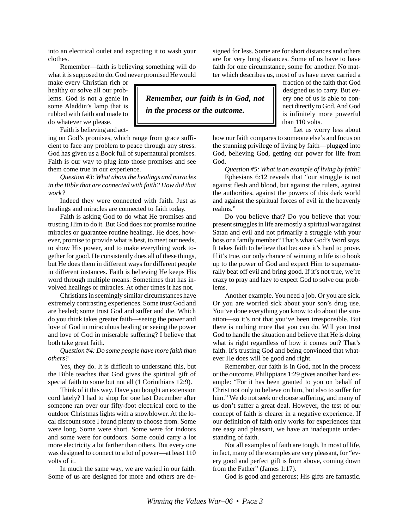into an electrical outlet and expecting it to wash your clothes.

Remember—faith is believing something will do what it is supposed to do. God never promised He would

make every Christian rich or healthy or solve all our problems. God is not a genie in some Aladdin's lamp that is rubbed with faith and made to do whatever we please.

Faith is believing and act-

ing on God's promises, which range from grace sufficient to face any problem to peace through any stress. God has given us a Book full of supernatural promises. Faith is our way to plug into those promises and see them come true in our experience.

*Question #3: What about the healings and miracles in the Bible that are connected with faith? How did that work?*

Indeed they were connected with faith. Just as healings and miracles are connected to faith today.

Faith is asking God to do what He promises and trusting Him to do it. But God does not promise routine miracles or guarantee routine healings. He does, however, promise to provide what is best, to meet our needs, to show His power, and to make everything work together for good. He consistently does all of these things, but He does them in different ways for different people in different instances. Faith is believing He keeps His word through multiple means. Sometimes that has involved healings or miracles. At other times it has not.

Christians in seemingly similar circumstances have extremely contrasting experiences. Some trust God and are healed; some trust God and suffer and die. Which do you think takes greater faith—seeing the power and love of God in miraculous healing or seeing the power and love of God in miserable suffering? I believe that both take great faith.

*Question #4: Do some people have more faith than others?*

Yes, they do. It is difficult to understand this, but the Bible teaches that God gives the spiritual gift of special faith to some but not all (1 Corinthians 12:9).

Think of it this way. Have you bought an extension cord lately? I had to shop for one last December after someone ran over our fifty-foot electrical cord to the outdoor Christmas lights with a snowblower. At the local discount store I found plenty to choose from. Some were long. Some were short. Some were for indoors and some were for outdoors. Some could carry a lot more electricity a lot farther than others. But every one was designed to connect to a lot of power—at least 110 volts of it.

In much the same way, we are varied in our faith. Some of us are designed for more and others are designed for less. Some are for short distances and others are for very long distances. Some of us have to have faith for one circumstance, some for another. No matter which describes us, most of us have never carried a

> fraction of the faith that God designed us to carry. But every one of us is able to connect directly to God. And God is infinitely more powerful than 110 volts.

> Let us worry less about

how our faith compares to someone else's and focus on the stunning privilege of living by faith—plugged into God, believing God, getting our power for life from God.

*Question #5: What is an example of living by faith?*

Ephesians 6:12 reveals that "our struggle is not against flesh and blood, but against the rulers, against the authorities, against the powers of this dark world and against the spiritual forces of evil in the heavenly realms."

Do you believe that? Do you believe that your present struggles in life are mostly a spiritual war against Satan and evil and not primarily a struggle with your boss or a family member? That's what God's Word says. It takes faith to believe that because it's hard to prove. If it's true, our only chance of winning in life is to hook up to the power of God and expect Him to supernaturally beat off evil and bring good. If it's not true, we're crazy to pray and lazy to expect God to solve our problems.

Another example. You need a job. Or you are sick. Or you are worried sick about your son's drug use. You've done everything you know to do about the situation—so it's not that you've been irresponsible. But there is nothing more that you can do. Will you trust God to handle the situation and believe that He is doing what is right regardless of how it comes out? That's faith. It's trusting God and being convinced that whatever He does will be good and right.

Remember, our faith is in God, not in the process or the outcome. Philippians 1:29 gives another hard example: "For it has been granted to you on behalf of Christ not only to believe on him, but also to suffer for him." We do not seek or choose suffering, and many of us don't suffer a great deal. However, the test of our concept of faith is clearer in a negative experience. If our definition of faith only works for experiences that are easy and pleasant, we have an inadequate understanding of faith.

Not all examples of faith are tough. In most of life, in fact, many of the examples are very pleasant, for "every good and perfect gift is from above, coming down from the Father" (James 1:17).

God is good and generous; His gifts are fantastic.

*Remember, our faith is in God, not*

*in the process or the outcome.*